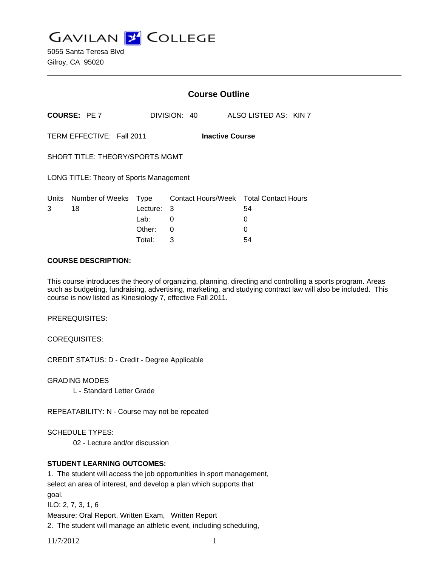**GAVILAN J COLLEGE** 

|                                                     |                            |          | <b>Course Outline</b> |                                        |  |  |
|-----------------------------------------------------|----------------------------|----------|-----------------------|----------------------------------------|--|--|
|                                                     | <b>COURSE: PE7</b>         |          | DIVISION: 40          | ALSO LISTED AS: KIN 7                  |  |  |
| TERM EFFECTIVE: Fall 2011<br><b>Inactive Course</b> |                            |          |                       |                                        |  |  |
| SHORT TITLE: THEORY/SPORTS MGMT                     |                            |          |                       |                                        |  |  |
| LONG TITLE: Theory of Sports Management             |                            |          |                       |                                        |  |  |
|                                                     | Units Number of Weeks Type |          |                       | Contact Hours/Week Total Contact Hours |  |  |
| 3                                                   | 18                         | Lecture: | - 3                   | 54                                     |  |  |
|                                                     |                            | Lab:     | 0                     | 0                                      |  |  |
|                                                     |                            | Other:   | 0                     | 0                                      |  |  |
|                                                     |                            | Total:   | 3                     | 54                                     |  |  |

### **COURSE DESCRIPTION:**

This course introduces the theory of organizing, planning, directing and controlling a sports program. Areas such as budgeting, fundraising, advertising, marketing, and studying contract law will also be included. This course is now listed as Kinesiology 7, effective Fall 2011.

PREREQUISITES:

COREQUISITES:

CREDIT STATUS: D - Credit - Degree Applicable

GRADING MODES

L - Standard Letter Grade

REPEATABILITY: N - Course may not be repeated

SCHEDULE TYPES:

02 - Lecture and/or discussion

# **STUDENT LEARNING OUTCOMES:**

1. The student will access the job opportunities in sport management, select an area of interest, and develop a plan which supports that goal. ILO: 2, 7, 3, 1, 6 Measure: Oral Report, Written Exam, Written Report 2. The student will manage an athletic event, including scheduling,

11/7/2012 1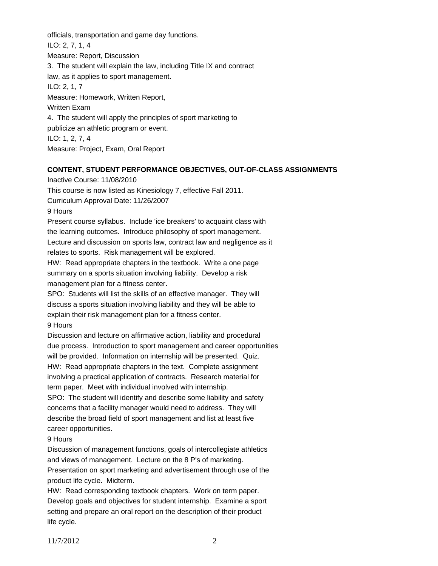officials, transportation and game day functions. ILO: 2, 7, 1, 4 Measure: Report, Discussion 3. The student will explain the law, including Title IX and contract law, as it applies to sport management. ILO: 2, 1, 7 Measure: Homework, Written Report, Written Exam 4. The student will apply the principles of sport marketing to publicize an athletic program or event. ILO: 1, 2, 7, 4 Measure: Project, Exam, Oral Report

### **CONTENT, STUDENT PERFORMANCE OBJECTIVES, OUT-OF-CLASS ASSIGNMENTS**

Inactive Course: 11/08/2010

This course is now listed as Kinesiology 7, effective Fall 2011.

Curriculum Approval Date: 11/26/2007

9 Hours

Present course syllabus. Include 'ice breakers' to acquaint class with the learning outcomes. Introduce philosophy of sport management. Lecture and discussion on sports law, contract law and negligence as it relates to sports. Risk management will be explored.

HW: Read appropriate chapters in the textbook. Write a one page summary on a sports situation involving liability. Develop a risk management plan for a fitness center.

SPO: Students will list the skills of an effective manager. They will discuss a sports situation involving liability and they will be able to explain their risk management plan for a fitness center. 9 Hours

Discussion and lecture on affirmative action, liability and procedural due process. Introduction to sport management and career opportunities will be provided. Information on internship will be presented. Quiz. HW: Read appropriate chapters in the text. Complete assignment involving a practical application of contracts. Research material for term paper. Meet with individual involved with internship.

SPO: The student will identify and describe some liability and safety concerns that a facility manager would need to address. They will describe the broad field of sport management and list at least five career opportunities.

9 Hours

Discussion of management functions, goals of intercollegiate athletics and views of management. Lecture on the 8 P's of marketing. Presentation on sport marketing and advertisement through use of the product life cycle. Midterm.

HW: Read corresponding textbook chapters. Work on term paper. Develop goals and objectives for student internship. Examine a sport setting and prepare an oral report on the description of their product life cycle.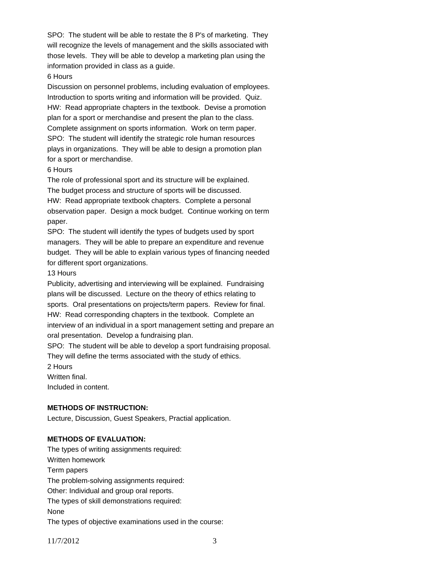SPO: The student will be able to restate the 8 P's of marketing. They will recognize the levels of management and the skills associated with those levels. They will be able to develop a marketing plan using the information provided in class as a guide.

# 6 Hours

Discussion on personnel problems, including evaluation of employees. Introduction to sports writing and information will be provided. Quiz. HW: Read appropriate chapters in the textbook. Devise a promotion plan for a sport or merchandise and present the plan to the class. Complete assignment on sports information. Work on term paper. SPO: The student will identify the strategic role human resources plays in organizations. They will be able to design a promotion plan for a sport or merchandise.

### 6 Hours

The role of professional sport and its structure will be explained. The budget process and structure of sports will be discussed. HW: Read appropriate textbook chapters. Complete a personal observation paper. Design a mock budget. Continue working on term paper.

SPO: The student will identify the types of budgets used by sport managers. They will be able to prepare an expenditure and revenue budget. They will be able to explain various types of financing needed for different sport organizations.

### 13 Hours

Publicity, advertising and interviewing will be explained. Fundraising plans will be discussed. Lecture on the theory of ethics relating to sports. Oral presentations on projects/term papers. Review for final. HW: Read corresponding chapters in the textbook. Complete an interview of an individual in a sport management setting and prepare an oral presentation. Develop a fundraising plan.

SPO: The student will be able to develop a sport fundraising proposal. They will define the terms associated with the study of ethics.

2 Hours

Written final.

Included in content.

## **METHODS OF INSTRUCTION:**

Lecture, Discussion, Guest Speakers, Practial application.

## **METHODS OF EVALUATION:**

The types of writing assignments required: Written homework Term papers The problem-solving assignments required: Other: Individual and group oral reports. The types of skill demonstrations required: None The types of objective examinations used in the course:

11/7/2012 3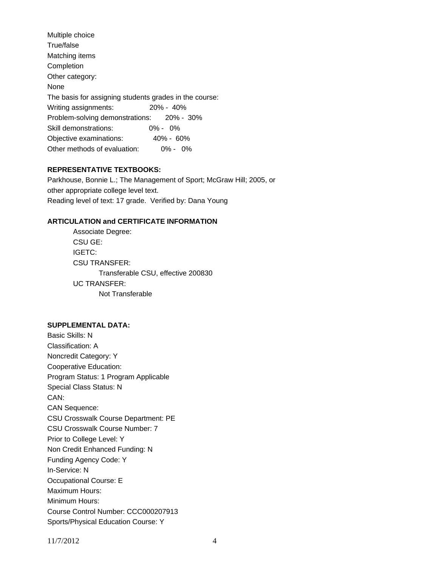| Multiple choice                                        |               |  |  |  |  |
|--------------------------------------------------------|---------------|--|--|--|--|
| True/false                                             |               |  |  |  |  |
| Matching items                                         |               |  |  |  |  |
| Completion                                             |               |  |  |  |  |
| Other category:                                        |               |  |  |  |  |
| <b>None</b>                                            |               |  |  |  |  |
| The basis for assigning students grades in the course: |               |  |  |  |  |
| Writing assignments:                                   | $20\% - 40\%$ |  |  |  |  |
| Problem-solving demonstrations: 20% - 30%              |               |  |  |  |  |
| Skill demonstrations:                                  | $0\% - 0\%$   |  |  |  |  |
| Objective examinations:                                | $40\% - 60\%$ |  |  |  |  |
| Other methods of evaluation:                           | $0\% - 0\%$   |  |  |  |  |
|                                                        |               |  |  |  |  |

### **REPRESENTATIVE TEXTBOOKS:**

Parkhouse, Bonnie L.; The Management of Sport; McGraw Hill; 2005, or other appropriate college level text. Reading level of text: 17 grade. Verified by: Dana Young

## **ARTICULATION and CERTIFICATE INFORMATION**

 Transferable CSU, effective 200830 UC TRANSFER: Not Transferable Associate Degree: CSU GE: IGETC: CSU TRANSFER:

### **SUPPLEMENTAL DATA:**

Basic Skills: N Classification: A Noncredit Category: Y Cooperative Education: Program Status: 1 Program Applicable Special Class Status: N CAN: CAN Sequence: CSU Crosswalk Course Department: PE CSU Crosswalk Course Number: 7 Prior to College Level: Y Non Credit Enhanced Funding: N Funding Agency Code: Y In-Service: N Occupational Course: E Maximum Hours: Minimum Hours: Course Control Number: CCC000207913 Sports/Physical Education Course: Y

11/7/2012 4